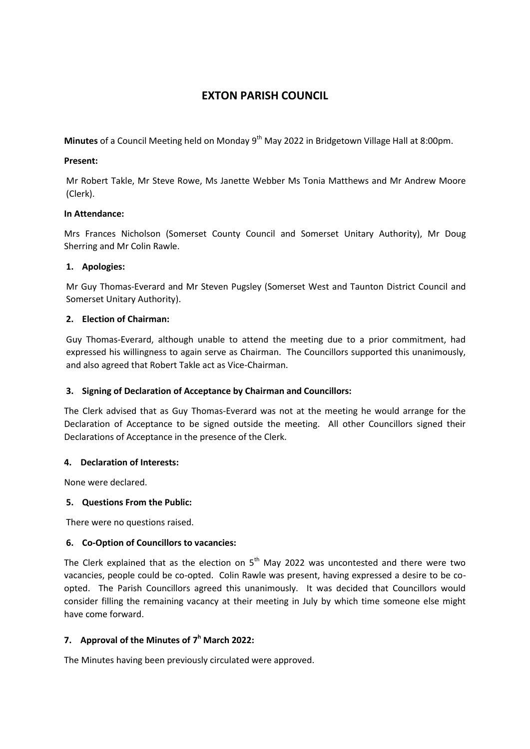# **EXTON PARISH COUNCIL**

Minutes of a Council Meeting held on Monday 9<sup>th</sup> May 2022 in Bridgetown Village Hall at 8:00pm.

#### **Present:**

Mr Robert Takle, Mr Steve Rowe, Ms Janette Webber Ms Tonia Matthews and Mr Andrew Moore (Clerk).

### **In Attendance:**

Mrs Frances Nicholson (Somerset County Council and Somerset Unitary Authority), Mr Doug Sherring and Mr Colin Rawle.

### **1. Apologies:**

Mr Guy Thomas-Everard and Mr Steven Pugsley (Somerset West and Taunton District Council and Somerset Unitary Authority).

### **2. Election of Chairman:**

Guy Thomas-Everard, although unable to attend the meeting due to a prior commitment, had expressed his willingness to again serve as Chairman. The Councillors supported this unanimously, and also agreed that Robert Takle act as Vice-Chairman.

# **3. Signing of Declaration of Acceptance by Chairman and Councillors:**

The Clerk advised that as Guy Thomas-Everard was not at the meeting he would arrange for the Declaration of Acceptance to be signed outside the meeting. All other Councillors signed their Declarations of Acceptance in the presence of the Clerk.

# **4. Declaration of Interests:**

None were declared.

#### **5. Questions From the Public:**

There were no questions raised.

#### **6. Co-Option of Councillors to vacancies:**

The Clerk explained that as the election on  $5<sup>th</sup>$  May 2022 was uncontested and there were two vacancies, people could be co-opted. Colin Rawle was present, having expressed a desire to be coopted. The Parish Councillors agreed this unanimously. It was decided that Councillors would consider filling the remaining vacancy at their meeting in July by which time someone else might have come forward.

# **7. Approval of the Minutes of 7 <sup>h</sup> March 2022:**

The Minutes having been previously circulated were approved.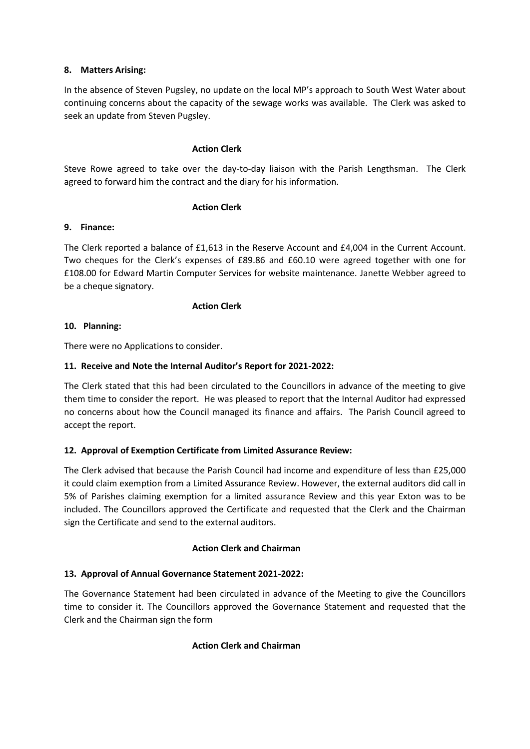### **8. Matters Arising:**

In the absence of Steven Pugsley, no update on the local MP's approach to South West Water about continuing concerns about the capacity of the sewage works was available. The Clerk was asked to seek an update from Steven Pugsley.

#### **Action Clerk**

Steve Rowe agreed to take over the day-to-day liaison with the Parish Lengthsman. The Clerk agreed to forward him the contract and the diary for his information.

### **Action Clerk**

### **9. Finance:**

The Clerk reported a balance of £1,613 in the Reserve Account and £4,004 in the Current Account. Two cheques for the Clerk's expenses of £89.86 and £60.10 were agreed together with one for £108.00 for Edward Martin Computer Services for website maintenance. Janette Webber agreed to be a cheque signatory.

### **Action Clerk**

### **10. Planning:**

There were no Applications to consider.

### **11. Receive and Note the Internal Auditor's Report for 2021-2022:**

The Clerk stated that this had been circulated to the Councillors in advance of the meeting to give them time to consider the report. He was pleased to report that the Internal Auditor had expressed no concerns about how the Council managed its finance and affairs. The Parish Council agreed to accept the report.

# **12. Approval of Exemption Certificate from Limited Assurance Review:**

The Clerk advised that because the Parish Council had income and expenditure of less than £25,000 it could claim exemption from a Limited Assurance Review. However, the external auditors did call in 5% of Parishes claiming exemption for a limited assurance Review and this year Exton was to be included. The Councillors approved the Certificate and requested that the Clerk and the Chairman sign the Certificate and send to the external auditors.

# **Action Clerk and Chairman**

# **13. Approval of Annual Governance Statement 2021-2022:**

The Governance Statement had been circulated in advance of the Meeting to give the Councillors time to consider it. The Councillors approved the Governance Statement and requested that the Clerk and the Chairman sign the form

# **Action Clerk and Chairman**